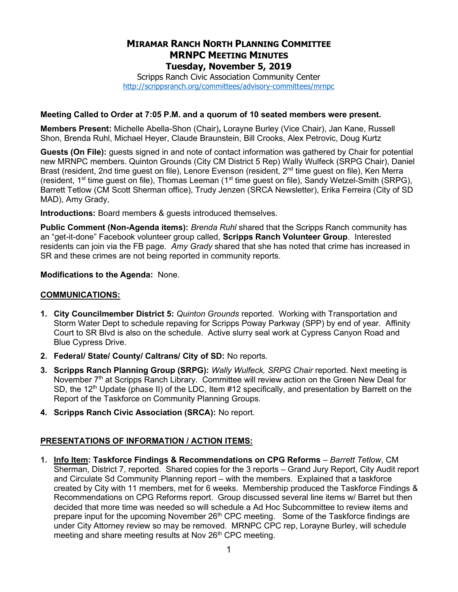# MIRAMAR RANCH NORTH PLANNING COMMITTEE MRNPC MEETING MINUTES Tuesday, November 5, 2019

Scripps Ranch Civic Association Community Center http://scrippsranch.org/committees/advisory-committees/mrnpc

#### Meeting Called to Order at 7:05 P.M. and a quorum of 10 seated members were present.

Members Present: Michelle Abella-Shon (Chair), Lorayne Burley (Vice Chair), Jan Kane, Russell Shon, Brenda Ruhl, Michael Heyer, Claude Braunstein, Bill Crooks, Alex Petrovic, Doug Kurtz

Guests (On File): quests signed in and note of contact information was gathered by Chair for potential new MRNPC members. Quinton Grounds (City CM District 5 Rep) Wally Wulfeck (SRPG Chair), Daniel Brast (resident, 2nd time guest on file), Lenore Evenson (resident, 2<sup>nd</sup> time guest on file), Ken Merra (resident, 1<sup>st</sup> time guest on file), Thomas Leeman (1<sup>st</sup> time guest on file), Sandy Wetzel-Smith (SRPG), Barrett Tetlow (CM Scott Sherman office), Trudy Jenzen (SRCA Newsletter), Erika Ferreira (City of SD MAD), Amy Grady,

Introductions: Board members & guests introduced themselves.

Public Comment (Non-Agenda items): Brenda Ruhl shared that the Scripps Ranch community has an "get-it-done" Facebook volunteer group called, Scripps Ranch Volunteer Group. Interested residents can join via the FB page. Amy Grady shared that she has noted that crime has increased in SR and these crimes are not being reported in community reports.

#### Modifications to the Agenda: None.

### COMMUNICATIONS:

- 1. City Councilmember District 5: Quinton Grounds reported. Working with Transportation and Storm Water Dept to schedule repaving for Scripps Poway Parkway (SPP) by end of year. Affinity Court to SR Blvd is also on the schedule. Active slurry seal work at Cypress Canyon Road and Blue Cypress Drive.
- 2. Federal/ State/ County/ Caltrans/ City of SD: No reports.
- 3. Scripps Ranch Planning Group (SRPG): Wally Wulfeck, SRPG Chair reported. Next meeting is November 7<sup>th</sup> at Scripps Ranch Library. Committee will review action on the Green New Deal for SD, the 12<sup>th</sup> Update (phase II) of the LDC, Item #12 specifically, and presentation by Barrett on the Report of the Taskforce on Community Planning Groups.
- 4. Scripps Ranch Civic Association (SRCA): No report.

### PRESENTATIONS OF INFORMATION / ACTION ITEMS:

1. Info Item: Taskforce Findings & Recommendations on CPG Reforms – Barrett Tetlow, CM Sherman, District 7, reported. Shared copies for the 3 reports – Grand Jury Report, City Audit report and Circulate Sd Community Planning report – with the members. Explained that a taskforce created by City with 11 members, met for 6 weeks. Membership produced the Taskforce Findings & Recommendations on CPG Reforms report. Group discussed several line items w/ Barret but then decided that more time was needed so will schedule a Ad Hoc Subcommittee to review items and prepare input for the upcoming November 26<sup>th</sup> CPC meeting. Some of the Taskforce findings are under City Attorney review so may be removed. MRNPC CPC rep, Lorayne Burley, will schedule meeting and share meeting results at Nov 26<sup>th</sup> CPC meeting.